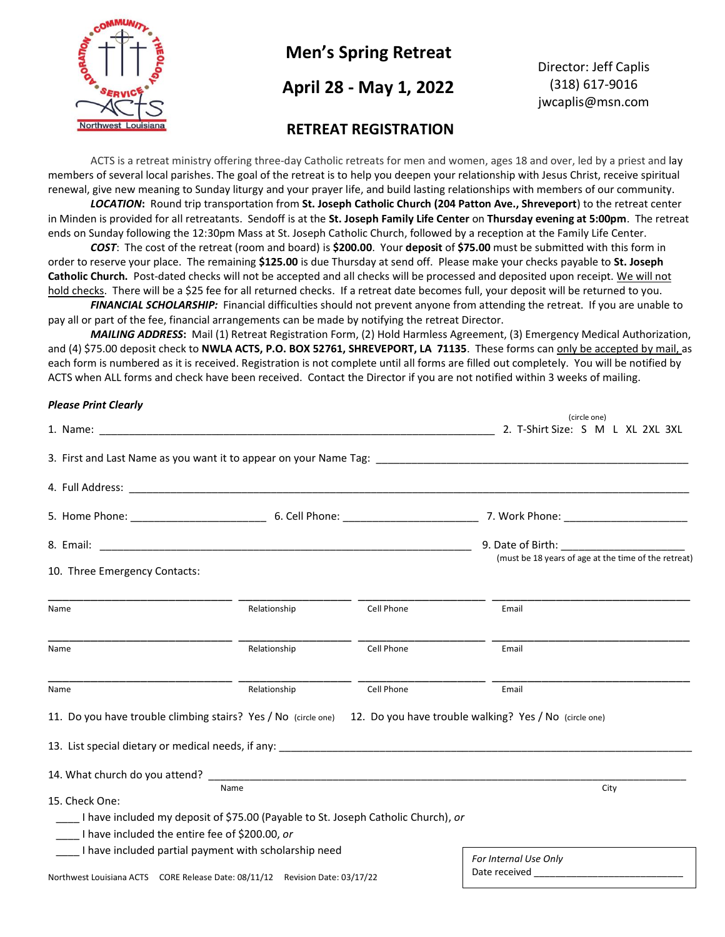

# **Men's Spring Retreat**

## **April 28 - May 1, 2022**

Director: Jeff Caplis (318) 617-9016 jwcaplis@msn.com

### **RETREAT REGISTRATION**

ACTS is a retreat ministry offering three-day Catholic retreats for men and women, ages 18 and over, led by a priest and lay members of several local parishes. The goal of the retreat is to help you deepen your relationship with Jesus Christ, receive spiritual renewal, give new meaning to Sunday liturgy and your prayer life, and build lasting relationships with members of our community.

*LOCATION***:** Round trip transportation from **St. Joseph Catholic Church (204 Patton Ave., Shreveport**) to the retreat center in Minden is provided for all retreatants. Sendoff is at the **St. Joseph Family Life Center** on **Thursday evening at 5:00pm**. The retreat ends on Sunday following the 12:30pm Mass at St. Joseph Catholic Church, followed by a reception at the Family Life Center.

*COST*: The cost of the retreat (room and board) is **\$200.00**. Your **deposit** of **\$75.00** must be submitted with this form in order to reserve your place. The remaining **\$125.00** is due Thursday at send off. Please make your checks payable to **St. Joseph Catholic Church.** Post-dated checks will not be accepted and all checks will be processed and deposited upon receipt. We will not hold checks. There will be a \$25 fee for all returned checks. If a retreat date becomes full, your deposit will be returned to you.

*FINANCIAL SCHOLARSHIP:* Financial difficulties should not prevent anyone from attending the retreat. If you are unable to pay all or part of the fee, financial arrangements can be made by notifying the retreat Director.

*MAILING ADDRESS***:** Mail (1) Retreat Registration Form, (2) Hold Harmless Agreement, (3) Emergency Medical Authorization, and (4) \$75.00 deposit check to **NWLA ACTS, P.O. BOX 52761, SHREVEPORT, LA 71135**. These forms can only be accepted by mail, as each form is numbered as it is received. Registration is not complete until all forms are filled out completely. You will be notified by ACTS when ALL forms and check have been received. Contact the Director if you are not notified within 3 weeks of mailing.

#### *Please Print Clearly*

|                                                                                                                                       |              |            | (circle one)<br>2. T-Shirt Size: S M L XL 2XL 3XL                                                                                                                                                                                                       |
|---------------------------------------------------------------------------------------------------------------------------------------|--------------|------------|---------------------------------------------------------------------------------------------------------------------------------------------------------------------------------------------------------------------------------------------------------|
|                                                                                                                                       |              |            |                                                                                                                                                                                                                                                         |
|                                                                                                                                       |              |            |                                                                                                                                                                                                                                                         |
|                                                                                                                                       |              |            |                                                                                                                                                                                                                                                         |
|                                                                                                                                       |              |            | 9. Date of Birth: The Same of Birth:<br>(must be 18 years of age at the time of the retreat)                                                                                                                                                            |
| 10. Three Emergency Contacts:                                                                                                         |              |            |                                                                                                                                                                                                                                                         |
| Name                                                                                                                                  | Relationship | Cell Phone | Email                                                                                                                                                                                                                                                   |
| Name                                                                                                                                  | Relationship | Cell Phone | Email                                                                                                                                                                                                                                                   |
| Name                                                                                                                                  | Relationship | Cell Phone | Email                                                                                                                                                                                                                                                   |
| 11. Do you have trouble climbing stairs? Yes / No (circle one) 12. Do you have trouble walking? Yes / No (circle one)                 |              |            |                                                                                                                                                                                                                                                         |
| 13. List special dietary or medical needs, if any: ______________________________                                                     |              |            |                                                                                                                                                                                                                                                         |
|                                                                                                                                       |              |            |                                                                                                                                                                                                                                                         |
| 15. Check One:                                                                                                                        | Name         |            | City                                                                                                                                                                                                                                                    |
| I have included my deposit of \$75.00 (Payable to St. Joseph Catholic Church), or                                                     |              |            |                                                                                                                                                                                                                                                         |
| I have included the entire fee of \$200.00, or                                                                                        |              |            |                                                                                                                                                                                                                                                         |
| I have included partial payment with scholarship need<br>Northwest Louisiana ACTS CORE Release Date: 08/11/12 Revision Date: 03/17/22 |              |            | For Internal Use Only<br>Date received and the state of the state of the state of the state of the state of the state of the state of the state of the state of the state of the state of the state of the state of the state of the state of the state |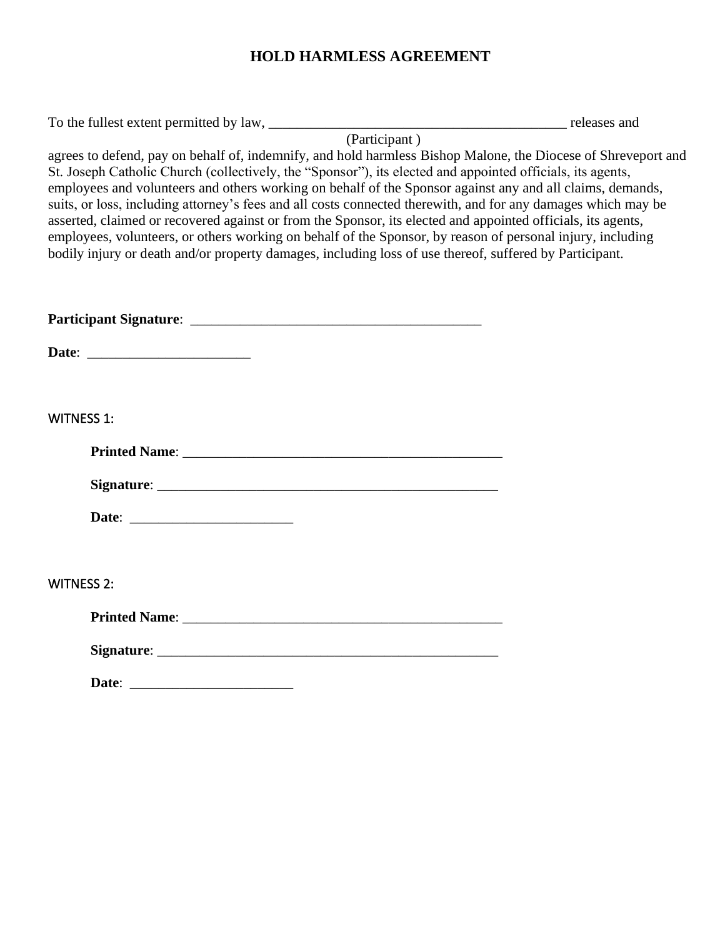# **HOLD HARMLESS AGREEMENT**

| agrees to defend, pay on behalf of, indemnify, and hold harmless Bishop Malone, the Diocese of Shreveport and<br>St. Joseph Catholic Church (collectively, the "Sponsor"), its elected and appointed officials, its agents,<br>employees and volunteers and others working on behalf of the Sponsor against any and all claims, demands,<br>suits, or loss, including attorney's fees and all costs connected therewith, and for any damages which may be<br>asserted, claimed or recovered against or from the Sponsor, its elected and appointed officials, its agents,<br>employees, volunteers, or others working on behalf of the Sponsor, by reason of personal injury, including<br>bodily injury or death and/or property damages, including loss of use thereof, suffered by Participant. |  |
|----------------------------------------------------------------------------------------------------------------------------------------------------------------------------------------------------------------------------------------------------------------------------------------------------------------------------------------------------------------------------------------------------------------------------------------------------------------------------------------------------------------------------------------------------------------------------------------------------------------------------------------------------------------------------------------------------------------------------------------------------------------------------------------------------|--|
|                                                                                                                                                                                                                                                                                                                                                                                                                                                                                                                                                                                                                                                                                                                                                                                                    |  |
|                                                                                                                                                                                                                                                                                                                                                                                                                                                                                                                                                                                                                                                                                                                                                                                                    |  |
|                                                                                                                                                                                                                                                                                                                                                                                                                                                                                                                                                                                                                                                                                                                                                                                                    |  |
| <b>WITNESS 1:</b>                                                                                                                                                                                                                                                                                                                                                                                                                                                                                                                                                                                                                                                                                                                                                                                  |  |
|                                                                                                                                                                                                                                                                                                                                                                                                                                                                                                                                                                                                                                                                                                                                                                                                    |  |
|                                                                                                                                                                                                                                                                                                                                                                                                                                                                                                                                                                                                                                                                                                                                                                                                    |  |
|                                                                                                                                                                                                                                                                                                                                                                                                                                                                                                                                                                                                                                                                                                                                                                                                    |  |
|                                                                                                                                                                                                                                                                                                                                                                                                                                                                                                                                                                                                                                                                                                                                                                                                    |  |
| <b>WITNESS 2:</b>                                                                                                                                                                                                                                                                                                                                                                                                                                                                                                                                                                                                                                                                                                                                                                                  |  |
|                                                                                                                                                                                                                                                                                                                                                                                                                                                                                                                                                                                                                                                                                                                                                                                                    |  |
|                                                                                                                                                                                                                                                                                                                                                                                                                                                                                                                                                                                                                                                                                                                                                                                                    |  |
|                                                                                                                                                                                                                                                                                                                                                                                                                                                                                                                                                                                                                                                                                                                                                                                                    |  |